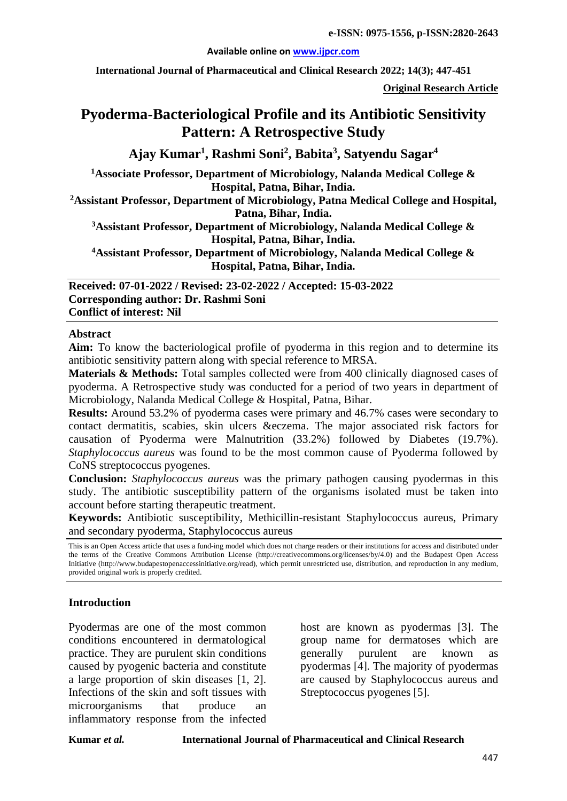### **Available online on [www.ijpcr.com](http://www.ijpcr.com/)**

**International Journal of Pharmaceutical and Clinical Research 2022; 14(3); 447-451**

**Original Research Article**

# **Pyoderma-Bacteriological Profile and its Antibiotic Sensitivity Pattern: A Retrospective Study**

**Ajay Kumar1 , Rashmi Soni2 , Babita<sup>3</sup> , Satyendu Sagar4**

**1Associate Professor, Department of Microbiology, Nalanda Medical College & Hospital, Patna, Bihar, India.**

**2Assistant Professor, Department of Microbiology, Patna Medical College and Hospital, Patna, Bihar, India.**

**3Assistant Professor, Department of Microbiology, Nalanda Medical College & Hospital, Patna, Bihar, India.**

**4Assistant Professor, Department of Microbiology, Nalanda Medical College & Hospital, Patna, Bihar, India.**

**Received: 07-01-2022 / Revised: 23-02-2022 / Accepted: 15-03-2022 Corresponding author: Dr. Rashmi Soni Conflict of interest: Nil**

#### **Abstract**

**Aim:** To know the bacteriological profile of pyoderma in this region and to determine its antibiotic sensitivity pattern along with special reference to MRSA.

**Materials & Methods:** Total samples collected were from 400 clinically diagnosed cases of pyoderma. A Retrospective study was conducted for a period of two years in department of Microbiology, Nalanda Medical College & Hospital, Patna, Bihar.

**Results:** Around 53.2% of pyoderma cases were primary and 46.7% cases were secondary to contact dermatitis, scabies, skin ulcers &eczema. The major associated risk factors for causation of Pyoderma were Malnutrition (33.2%) followed by Diabetes (19.7%). *Staphylococcus aureus* was found to be the most common cause of Pyoderma followed by CoNS streptococcus pyogenes.

**Conclusion:** *Staphylococcus aureus* was the primary pathogen causing pyodermas in this study. The antibiotic susceptibility pattern of the organisms isolated must be taken into account before starting therapeutic treatment.

**Keywords:** Antibiotic susceptibility, Methicillin-resistant Staphylococcus aureus, Primary and secondary pyoderma, Staphylococcus aureus

This is an Open Access article that uses a fund-ing model which does not charge readers or their institutions for access and distributed under the terms of the Creative Commons Attribution License (http://creativecommons.org/licenses/by/4.0) and the Budapest Open Access Initiative (http://www.budapestopenaccessinitiative.org/read), which permit unrestricted use, distribution, and reproduction in any medium, provided original work is properly credited.

# **Introduction**

Pyodermas are one of the most common conditions encountered in dermatological practice. They are purulent skin conditions caused by pyogenic bacteria and constitute a large proportion of skin diseases [1, 2]. Infections of the skin and soft tissues with microorganisms that produce an inflammatory response from the infected

host are known as pyodermas [3]. The group name for dermatoses which are generally purulent are known as pyodermas [4]. The majority of pyodermas are caused by Staphylococcus aureus and Streptococcus pyogenes [5].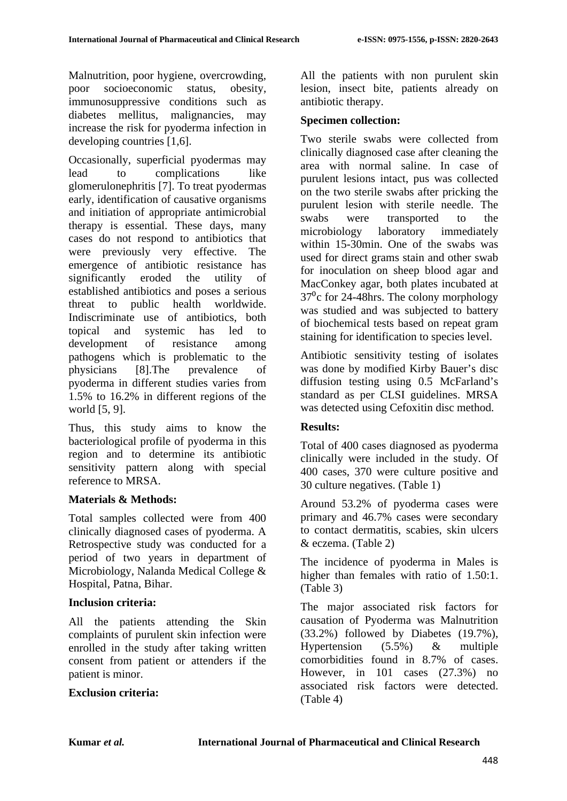Malnutrition, poor hygiene, overcrowding, poor socioeconomic status, obesity, immunosuppressive conditions such as diabetes mellitus, malignancies, may increase the risk for pyoderma infection in developing countries [1,6].

Occasionally, superficial pyodermas may lead to complications like glomerulonephritis [7]. To treat pyodermas early, identification of causative organisms and initiation of appropriate antimicrobial therapy is essential. These days, many cases do not respond to antibiotics that were previously very effective. The emergence of antibiotic resistance has significantly eroded the utility of established antibiotics and poses a serious threat to public health worldwide. Indiscriminate use of antibiotics, both topical and systemic has led to development of resistance among pathogens which is problematic to the physicians [8].The prevalence of pyoderma in different studies varies from 1.5% to 16.2% in different regions of the world [5, 9].

Thus, this study aims to know the bacteriological profile of pyoderma in this region and to determine its antibiotic sensitivity pattern along with special reference to MRSA.

# **Materials & Methods:**

Total samples collected were from 400 clinically diagnosed cases of pyoderma. A Retrospective study was conducted for a period of two years in department of Microbiology, Nalanda Medical College & Hospital, Patna, Bihar.

# **Inclusion criteria:**

All the patients attending the Skin complaints of purulent skin infection were enrolled in the study after taking written consent from patient or attenders if the patient is minor.

# **Exclusion criteria:**

All the patients with non purulent skin lesion, insect bite, patients already on antibiotic therapy.

## **Specimen collection:**

Two sterile swabs were collected from clinically diagnosed case after cleaning the area with normal saline. In case of purulent lesions intact, pus was collected on the two sterile swabs after pricking the purulent lesion with sterile needle. The swabs were transported to the microbiology laboratory immediately within 15-30min. One of the swabs was used for direct grams stain and other swab for inoculation on sheep blood agar and MacConkey agar, both plates incubated at  $37^{\circ}$ c for 24-48hrs. The colony morphology was studied and was subjected to battery of biochemical tests based on repeat gram staining for identification to species level.

Antibiotic sensitivity testing of isolates was done by modified Kirby Bauer's disc diffusion testing using 0.5 McFarland's standard as per CLSI guidelines. MRSA was detected using Cefoxitin disc method.

# **Results:**

Total of 400 cases diagnosed as pyoderma clinically were included in the study. Of 400 cases, 370 were culture positive and 30 culture negatives. (Table 1)

Around 53.2% of pyoderma cases were primary and 46.7% cases were secondary to contact dermatitis, scabies, skin ulcers & eczema. (Table 2)

The incidence of pyoderma in Males is higher than females with ratio of 1.50:1. (Table 3)

The major associated risk factors for causation of Pyoderma was Malnutrition (33.2%) followed by Diabetes (19.7%), Hypertension (5.5%) & multiple comorbidities found in 8.7% of cases. However, in 101 cases (27.3%) no associated risk factors were detected. (Table 4)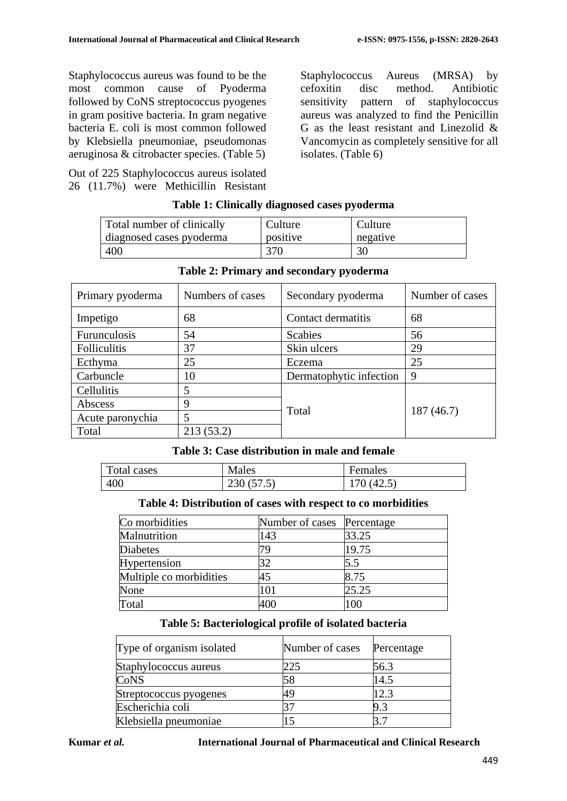Staphylococcus aureus was found to be the most common cause of Pyoderma followed by CoNS streptococcus pyogenes in gram positive bacteria. In gram negative bacteria E. coli is most common followed by Klebsiella pneumoniae, pseudomonas aeruginosa & citrobacter species. (Table 5)

Out of 225 Staphylococcus aureus isolated 26 (11.7%) were Methicillin Resistant

Staphylococcus Aureus (MRSA) by cefoxitin disc method. Antibiotic sensitivity pattern of staphylococcus aureus was analyzed to find the Penicillin G as the least resistant and Linezolid & Vancomycin as completely sensitive for all isolates. (Table 6)

### **Table 1: Clinically diagnosed cases pyoderma**

| Total number of clinically | Culture  | Culture  |
|----------------------------|----------|----------|
| diagnosed cases pyoderma   | positive | negative |
| 400                        | 370      | 30       |

| Primary pyoderma    | Numbers of cases | Secondary pyoderma      | Number of cases |
|---------------------|------------------|-------------------------|-----------------|
| Impetigo            | 68               | Contact dermatitis      | 68              |
| Furunculosis        | 54               | <b>Scabies</b>          | 56              |
| <b>Folliculitis</b> | 37               | Skin ulcers             | 29              |
| Ecthyma             | 25               | Eczema                  | 25              |
| Carbuncle           | 10               | Dermatophytic infection | 9               |
| Cellulitis          | 5                |                         |                 |
| Abscess             | 9                | Total                   | 187(46.7)       |
| Acute paronychia    | 5                |                         |                 |
| Total               | 213 (53.2)       |                         |                 |

#### **Table 2: Primary and secondary pyoderma**

## **Table 3: Case distribution in male and female**

| Total cases | Males     | Females   |
|-------------|-----------|-----------|
| 400         | 230(57.5) | 70 (42.5) |

#### **Table 4: Distribution of cases with respect to co morbidities**

| Co morbidities          | Number of cases Percentage |       |
|-------------------------|----------------------------|-------|
| Malnutrition            | 143                        | 33.25 |
| <b>Diabetes</b>         | 79                         | 19.75 |
| Hypertension            |                            | 5.5   |
| Multiple co morbidities | 45                         | 8.75  |
| None                    | 101                        | 25.25 |
| Total                   | 400 <sup>°</sup>           | 100   |

### **Table 5: Bacteriological profile of isolated bacteria**

| Type of organism isolated | Number of cases | Percentage |
|---------------------------|-----------------|------------|
| Staphylococcus aureus     | .25             | 56.3       |
| CoNS                      | 58              | 14.5       |
| Streptococcus pyogenes    |                 | 12.3       |
| Escherichia coli          |                 | 9.3        |
| Klebsiella pneumoniae     |                 |            |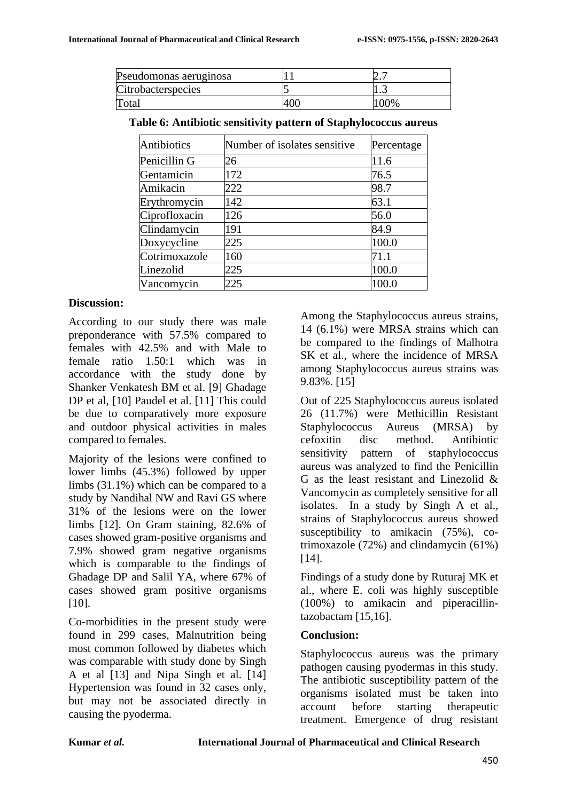| Pseudomonas aeruginosa | <u>.</u> |
|------------------------|----------|
| Citrobacterspecies     | ن .      |
| Total                  | 100%     |

| Table 6: Antibiotic sensitivity pattern of Staphylococcus aureus |
|------------------------------------------------------------------|
|                                                                  |

| <b>Antibiotics</b> | Number of isolates sensitive | Percentage |
|--------------------|------------------------------|------------|
| Penicillin G       | 26                           | 11.6       |
| Gentamicin         | 172                          | 76.5       |
| Amikacin           | 222                          | 98.7       |
| Erythromycin       | 142                          | 63.1       |
| Ciprofloxacin      | 126                          | 56.0       |
| Clindamycin        | 191                          | 84.9       |
| Doxycycline        | 225                          | 100.0      |
| Cotrimoxazole      | 160                          | 71.1       |
| Linezolid          | 225                          | 100.0      |
| Vancomycin         | 225                          | 100.0      |

#### **Discussion:**

According to our study there was male preponderance with 57.5% compared to females with 42.5% and with Male to female ratio 1.50:1 which was in accordance with the study done by Shanker Venkatesh BM et al. [9] Ghadage DP et al, [10] Paudel et al. [11] This could be due to comparatively more exposure and outdoor physical activities in males compared to females.

Majority of the lesions were confined to lower limbs (45.3%) followed by upper limbs (31.1%) which can be compared to a study by Nandihal NW and Ravi GS where 31% of the lesions were on the lower limbs [12]. On Gram staining, 82.6% of cases showed gram-positive organisms and 7.9% showed gram negative organisms which is comparable to the findings of Ghadage DP and Salil YA, where 67% of cases showed gram positive organisms [10].

Co-morbidities in the present study were found in 299 cases, Malnutrition being most common followed by diabetes which was comparable with study done by Singh A et al [13] and Nipa Singh et al. [14] Hypertension was found in 32 cases only, but may not be associated directly in causing the pyoderma.

Among the Staphylococcus aureus strains, 14 (6.1%) were MRSA strains which can be compared to the findings of Malhotra SK et al., where the incidence of MRSA among Staphylococcus aureus strains was 9.83%. [15]

Out of 225 Staphylococcus aureus isolated 26 (11.7%) were Methicillin Resistant Staphylococcus Aureus (MRSA) by cefoxitin disc method. Antibiotic sensitivity pattern of staphylococcus aureus was analyzed to find the Penicillin G as the least resistant and Linezolid & Vancomycin as completely sensitive for all isolates. In a study by Singh A et al., strains of Staphylococcus aureus showed susceptibility to amikacin (75%), cotrimoxazole (72%) and clindamycin (61%) [14].

Findings of a study done by Ruturaj MK et al., where E. coli was highly susceptible (100%) to amikacin and piperacillintazobactam [15,16].

## **Conclusion:**

Staphylococcus aureus was the primary pathogen causing pyodermas in this study. The antibiotic susceptibility pattern of the organisms isolated must be taken into account before starting therapeutic treatment. Emergence of drug resistant